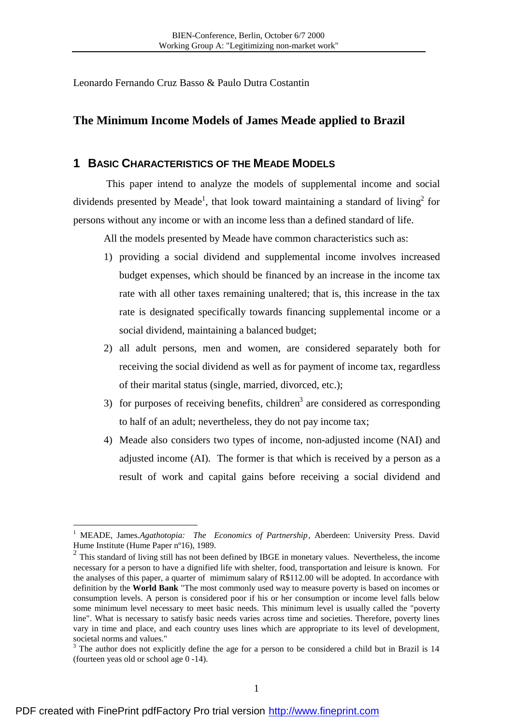Leonardo Fernando Cruz Basso & Paulo Dutra Costantin

# **The Minimum Income Models of James Meade applied to Brazil**

## **1 BASIC CHARACTERISTICS OF THE MEADE MODELS**

 This paper intend to analyze the models of supplemental income and social dividends presented by Meade<sup>1</sup>, that look toward maintaining a standard of living<sup>2</sup> for persons without any income or with an income less than a defined standard of life.

All the models presented by Meade have common characteristics such as:

- 1) providing a social dividend and supplemental income involves increased budget expenses, which should be financed by an increase in the income tax rate with all other taxes remaining unaltered; that is, this increase in the tax rate is designated specifically towards financing supplemental income or a social dividend, maintaining a balanced budget;
- 2) all adult persons, men and women, are considered separately both for receiving the social dividend as well as for payment of income tax, regardless of their marital status (single, married, divorced, etc.);
- 3) for purposes of receiving benefits, children<sup>3</sup> are considered as corresponding to half of an adult; nevertheless, they do not pay income tax;
- 4) Meade also considers two types of income, non-adjusted income (NAI) and adjusted income (AI). The former is that which is received by a person as a result of work and capital gains before receiving a social dividend and

<sup>&</sup>lt;sup>1</sup> MEADE, James.*Agathotopia: The Economics of Partnership*, Aberdeen: University Press. David Hume Institute (Hume Paper nº16), 1989.

<sup>&</sup>lt;sup>2</sup> This standard of living still has not been defined by IBGE in monetary values. Nevertheless, the income necessary for a person to have a dignified life with shelter, food, transportation and leisure is known. For the analyses of this paper, a quarter of mimimum salary of R\$112.00 will be adopted. In accordance with definition by the **World Bank** "The most commonly used way to measure poverty is based on incomes or consumption levels. A person is considered poor if his or her consumption or income level falls below some minimum level necessary to meet basic needs. This minimum level is usually called the "poverty line". What is necessary to satisfy basic needs varies across time and societies. Therefore, poverty lines vary in time and place, and each country uses lines which are appropriate to its level of development, societal norms and values."

 $3$  The author does not explicitly define the age for a person to be considered a child but in Brazil is 14 (fourteen yeas old or school age 0 -14).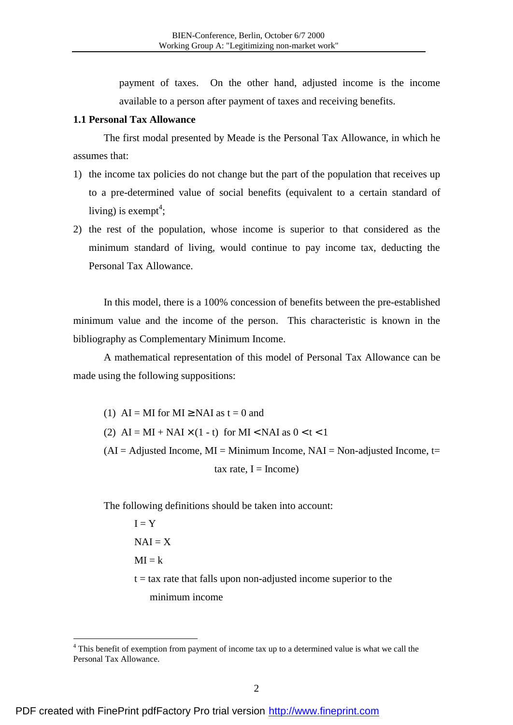payment of taxes. On the other hand, adjusted income is the income available to a person after payment of taxes and receiving benefits.

## **1.1 Personal Tax Allowance**

The first modal presented by Meade is the Personal Tax Allowance, in which he assumes that:

- 1) the income tax policies do not change but the part of the population that receives up to a pre-determined value of social benefits (equivalent to a certain standard of living) is exempt<sup>4</sup>;
- 2) the rest of the population, whose income is superior to that considered as the minimum standard of living, would continue to pay income tax, deducting the Personal Tax Allowance.

In this model, there is a 100% concession of benefits between the pre-established minimum value and the income of the person. This characteristic is known in the bibliography as Complementary Minimum Income.

A mathematical representation of this model of Personal Tax Allowance can be made using the following suppositions:

(1) AI = MI for MI  $\geq$  NAI as t = 0 and (2)  $AI = MI + NAI \times (1 - t)$  for  $MI < NAI$  as  $0 < t < 1$  $(AI = Adjusted Income, MI = Minimum Income, NAI = Non-adjusted Income, t=$ tax rate,  $I = Income$ 

The following definitions should be taken into account:

 $I = Y$  $NAI = X$  $MI = k$  $t = tax$  rate that falls upon non-adjusted income superior to the minimum income

<sup>&</sup>lt;sup>4</sup> This benefit of exemption from payment of income tax up to a determined value is what we call the Personal Tax Allowance.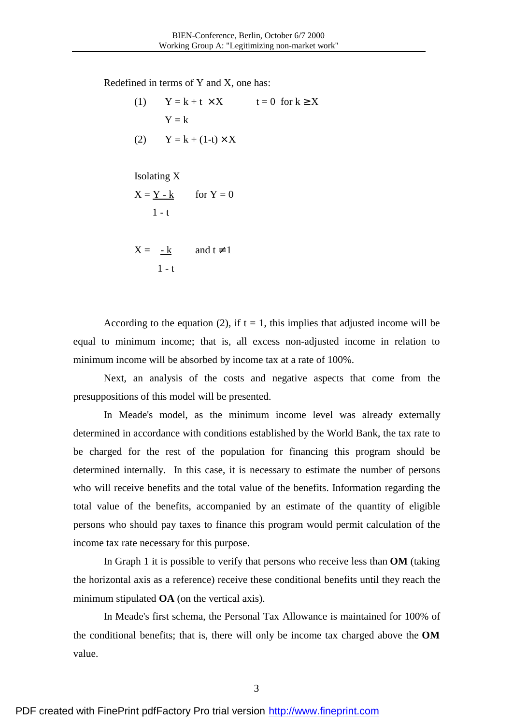Redefined in terms of Y and X, one has:

(1) 
$$
Y = k + t \times X \qquad t = 0 \text{ for } k \ge X
$$

$$
Y = k
$$

$$
(2) \qquad Y = k + (1-t) \times X
$$

Isolating X

$$
X = \underline{Y - k} \qquad \text{for } Y = 0
$$
  
1 - t

$$
X = \frac{-k}{1-t} \qquad \text{and } t \neq 1
$$

According to the equation (2), if  $t = 1$ , this implies that adjusted income will be equal to minimum income; that is, all excess non-adjusted income in relation to minimum income will be absorbed by income tax at a rate of 100%.

Next, an analysis of the costs and negative aspects that come from the presuppositions of this model will be presented.

In Meade's model, as the minimum income level was already externally determined in accordance with conditions established by the World Bank, the tax rate to be charged for the rest of the population for financing this program should be determined internally. In this case, it is necessary to estimate the number of persons who will receive benefits and the total value of the benefits. Information regarding the total value of the benefits, accompanied by an estimate of the quantity of eligible persons who should pay taxes to finance this program would permit calculation of the income tax rate necessary for this purpose.

In Graph 1 it is possible to verify that persons who receive less than **OM** (taking the horizontal axis as a reference) receive these conditional benefits until they reach the minimum stipulated **OA** (on the vertical axis).

In Meade's first schema, the Personal Tax Allowance is maintained for 100% of the conditional benefits; that is, there will only be income tax charged above the **OM** value.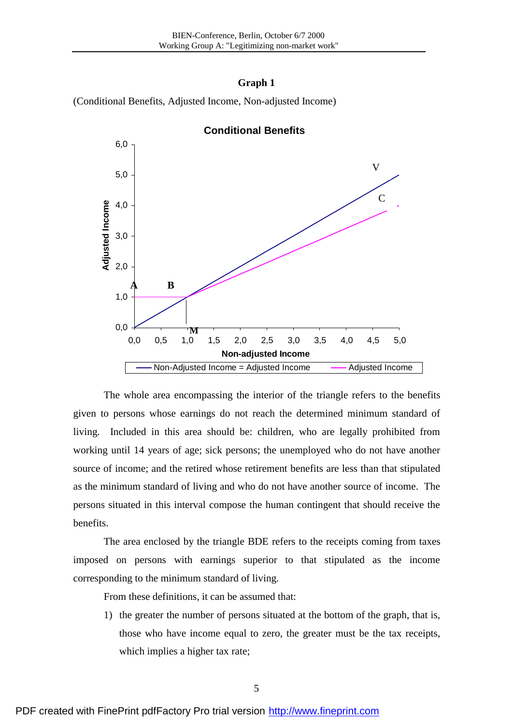#### **Graph 1**

(Conditional Benefits, Adjusted Income, Non-adjusted Income)



**Conditional Benefits**

The whole area encompassing the interior of the triangle refers to the benefits given to persons whose earnings do not reach the determined minimum standard of living. Included in this area should be: children, who are legally prohibited from working until 14 years of age; sick persons; the unemployed who do not have another source of income; and the retired whose retirement benefits are less than that stipulated as the minimum standard of living and who do not have another source of income. The persons situated in this interval compose the human contingent that should receive the benefits.

The area enclosed by the triangle BDE refers to the receipts coming from taxes imposed on persons with earnings superior to that stipulated as the income corresponding to the minimum standard of living.

From these definitions, it can be assumed that:

1) the greater the number of persons situated at the bottom of the graph, that is, those who have income equal to zero, the greater must be the tax receipts, which implies a higher tax rate;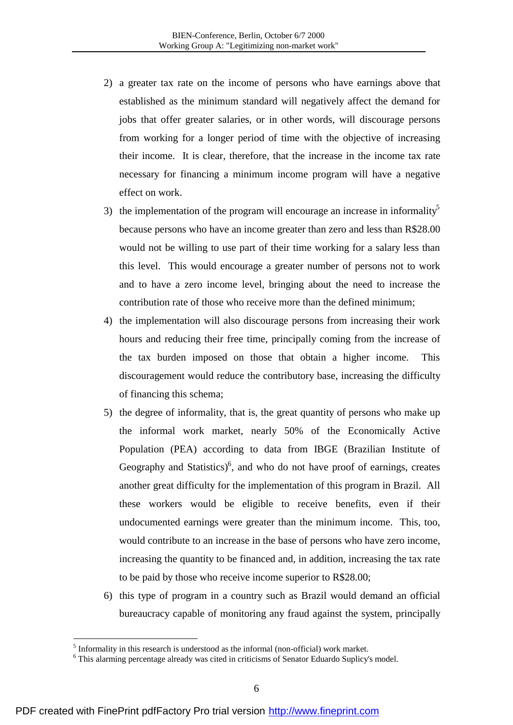- 2) a greater tax rate on the income of persons who have earnings above that established as the minimum standard will negatively affect the demand for jobs that offer greater salaries, or in other words, will discourage persons from working for a longer period of time with the objective of increasing their income. It is clear, therefore, that the increase in the income tax rate necessary for financing a minimum income program will have a negative effect on work.
- 3) the implementation of the program will encourage an increase in informality<sup>5</sup> because persons who have an income greater than zero and less than R\$28.00 would not be willing to use part of their time working for a salary less than this level. This would encourage a greater number of persons not to work and to have a zero income level, bringing about the need to increase the contribution rate of those who receive more than the defined minimum;
- 4) the implementation will also discourage persons from increasing their work hours and reducing their free time, principally coming from the increase of the tax burden imposed on those that obtain a higher income. This discouragement would reduce the contributory base, increasing the difficulty of financing this schema;
- 5) the degree of informality, that is, the great quantity of persons who make up the informal work market, nearly 50% of the Economically Active Population (PEA) according to data from IBGE (Brazilian Institute of Geography and Statistics) $6$ , and who do not have proof of earnings, creates another great difficulty for the implementation of this program in Brazil. All these workers would be eligible to receive benefits, even if their undocumented earnings were greater than the minimum income. This, too, would contribute to an increase in the base of persons who have zero income, increasing the quantity to be financed and, in addition, increasing the tax rate to be paid by those who receive income superior to R\$28.00;
- 6) this type of program in a country such as Brazil would demand an official bureaucracy capable of monitoring any fraud against the system, principally

 $<sup>5</sup>$  Informality in this research is understood as the informal (non-official) work market.</sup>

<sup>&</sup>lt;sup>6</sup> This alarming percentage already was cited in criticisms of Senator Eduardo Suplicy's model.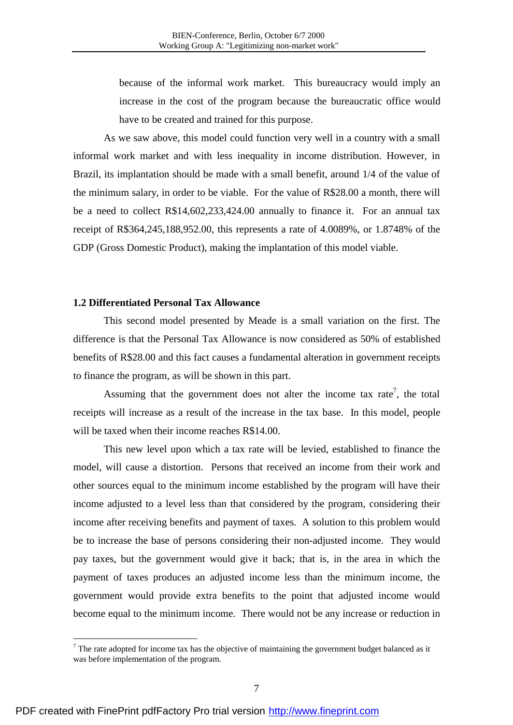because of the informal work market. This bureaucracy would imply an increase in the cost of the program because the bureaucratic office would have to be created and trained for this purpose.

As we saw above, this model could function very well in a country with a small informal work market and with less inequality in income distribution. However, in Brazil, its implantation should be made with a small benefit, around 1/4 of the value of the minimum salary, in order to be viable. For the value of R\$28.00 a month, there will be a need to collect R\$14,602,233,424.00 annually to finance it. For an annual tax receipt of R\$364,245,188,952.00, this represents a rate of 4.0089%, or 1.8748% of the GDP (Gross Domestic Product), making the implantation of this model viable.

### **1.2 Differentiated Personal Tax Allowance**

This second model presented by Meade is a small variation on the first. The difference is that the Personal Tax Allowance is now considered as 50% of established benefits of R\$28.00 and this fact causes a fundamental alteration in government receipts to finance the program, as will be shown in this part.

Assuming that the government does not alter the income tax rate<sup>7</sup>, the total receipts will increase as a result of the increase in the tax base. In this model, people will be taxed when their income reaches R\$14.00.

This new level upon which a tax rate will be levied, established to finance the model, will cause a distortion. Persons that received an income from their work and other sources equal to the minimum income established by the program will have their income adjusted to a level less than that considered by the program, considering their income after receiving benefits and payment of taxes. A solution to this problem would be to increase the base of persons considering their non-adjusted income. They would pay taxes, but the government would give it back; that is, in the area in which the payment of taxes produces an adjusted income less than the minimum income, the government would provide extra benefits to the point that adjusted income would become equal to the minimum income. There would not be any increase or reduction in

 $7$  The rate adopted for income tax has the objective of maintaining the government budget balanced as it was before implementation of the program.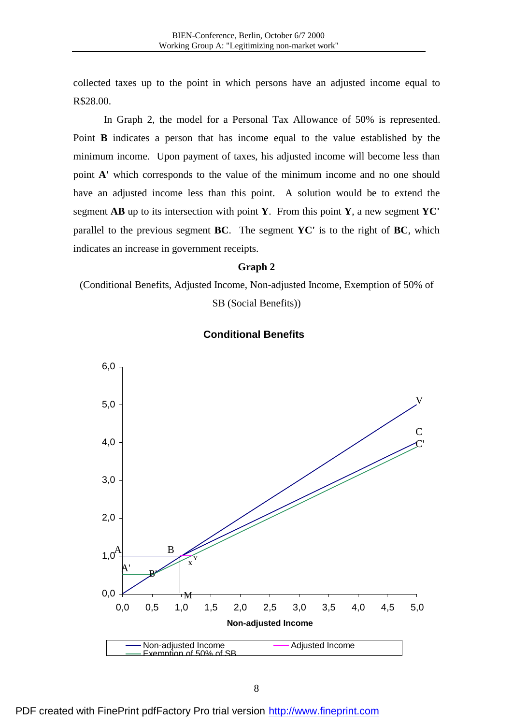collected taxes up to the point in which persons have an adjusted income equal to R\$28.00.

In Graph 2, the model for a Personal Tax Allowance of 50% is represented. Point **B** indicates a person that has income equal to the value established by the minimum income. Upon payment of taxes, his adjusted income will become less than point **A'** which corresponds to the value of the minimum income and no one should have an adjusted income less than this point. A solution would be to extend the segment **AB** up to its intersection with point **Y**. From this point **Y**, a new segment **YC'** parallel to the previous segment **BC**. The segment **YC'** is to the right of **BC**, which indicates an increase in government receipts.

#### **Graph 2**

(Conditional Benefits, Adjusted Income, Non-adjusted Income, Exemption of 50% of SB (Social Benefits))



## **Conditional Benefits**

PDF created with FinePrint pdfFactory Pro trial version <http://www.fineprint.com>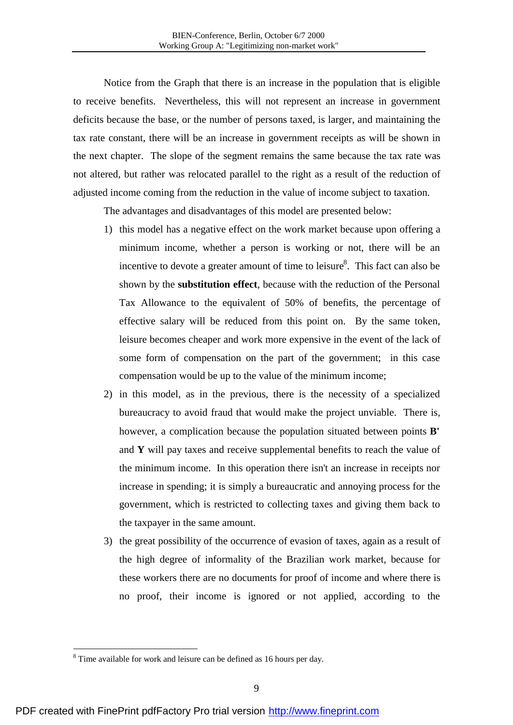Notice from the Graph that there is an increase in the population that is eligible to receive benefits. Nevertheless, this will not represent an increase in government deficits because the base, or the number of persons taxed, is larger, and maintaining the tax rate constant, there will be an increase in government receipts as will be shown in the next chapter. The slope of the segment remains the same because the tax rate was not altered, but rather was relocated parallel to the right as a result of the reduction of adjusted income coming from the reduction in the value of income subject to taxation.

The advantages and disadvantages of this model are presented below:

- 1) this model has a negative effect on the work market because upon offering a minimum income, whether a person is working or not, there will be an incentive to devote a greater amount of time to leisure $8$ . This fact can also be shown by the **substitution effect**, because with the reduction of the Personal Tax Allowance to the equivalent of 50% of benefits, the percentage of effective salary will be reduced from this point on. By the same token, leisure becomes cheaper and work more expensive in the event of the lack of some form of compensation on the part of the government; in this case compensation would be up to the value of the minimum income;
- 2) in this model, as in the previous, there is the necessity of a specialized bureaucracy to avoid fraud that would make the project unviable. There is, however, a complication because the population situated between points **B'** and **Y** will pay taxes and receive supplemental benefits to reach the value of the minimum income. In this operation there isn't an increase in receipts nor increase in spending; it is simply a bureaucratic and annoying process for the government, which is restricted to collecting taxes and giving them back to the taxpayer in the same amount.
- 3) the great possibility of the occurrence of evasion of taxes, again as a result of the high degree of informality of the Brazilian work market, because for these workers there are no documents for proof of income and where there is no proof, their income is ignored or not applied, according to the

<sup>&</sup>lt;sup>8</sup> Time available for work and leisure can be defined as 16 hours per day.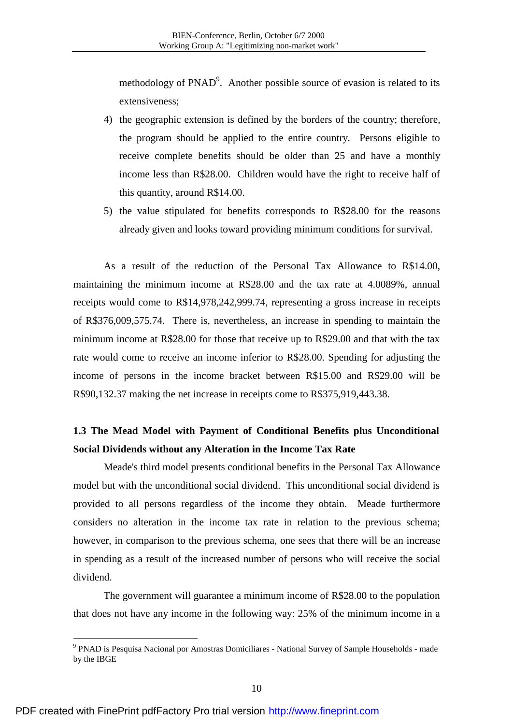methodology of  $P NAD<sup>9</sup>$ . Another possible source of evasion is related to its extensiveness;

- 4) the geographic extension is defined by the borders of the country; therefore, the program should be applied to the entire country. Persons eligible to receive complete benefits should be older than 25 and have a monthly income less than R\$28.00. Children would have the right to receive half of this quantity, around R\$14.00.
- 5) the value stipulated for benefits corresponds to R\$28.00 for the reasons already given and looks toward providing minimum conditions for survival.

As a result of the reduction of the Personal Tax Allowance to R\$14.00, maintaining the minimum income at R\$28.00 and the tax rate at 4.0089%, annual receipts would come to R\$14,978,242,999.74, representing a gross increase in receipts of R\$376,009,575.74. There is, nevertheless, an increase in spending to maintain the minimum income at R\$28.00 for those that receive up to R\$29.00 and that with the tax rate would come to receive an income inferior to R\$28.00. Spending for adjusting the income of persons in the income bracket between R\$15.00 and R\$29.00 will be R\$90,132.37 making the net increase in receipts come to R\$375,919,443.38.

# **1.3 The Mead Model with Payment of Conditional Benefits plus Unconditional Social Dividends without any Alteration in the Income Tax Rate**

Meade's third model presents conditional benefits in the Personal Tax Allowance model but with the unconditional social dividend. This unconditional social dividend is provided to all persons regardless of the income they obtain. Meade furthermore considers no alteration in the income tax rate in relation to the previous schema; however, in comparison to the previous schema, one sees that there will be an increase in spending as a result of the increased number of persons who will receive the social dividend.

The government will guarantee a minimum income of R\$28.00 to the population that does not have any income in the following way: 25% of the minimum income in a

<sup>&</sup>lt;sup>9</sup> PNAD is Pesquisa Nacional por Amostras Domiciliares - National Survey of Sample Households - made by the IBGE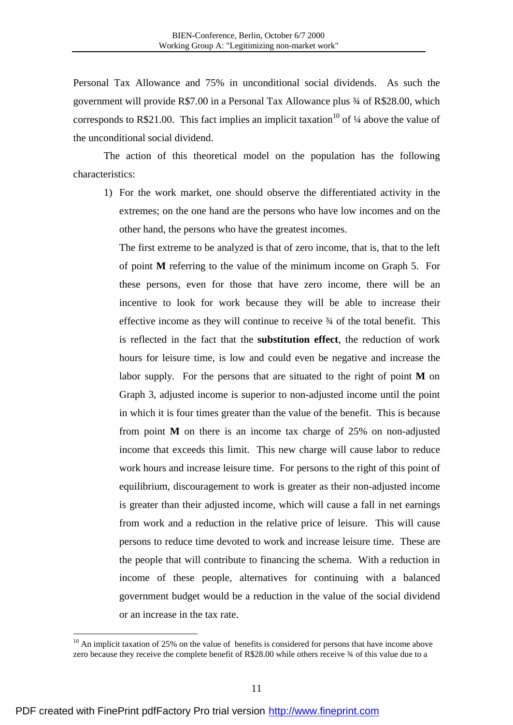Personal Tax Allowance and 75% in unconditional social dividends. As such the government will provide R\$7.00 in a Personal Tax Allowance plus ¾ of R\$28.00, which corresponds to R\$21.00. This fact implies an implicit taxation<sup>10</sup> of  $\frac{1}{4}$  above the value of the unconditional social dividend.

The action of this theoretical model on the population has the following characteristics:

1) For the work market, one should observe the differentiated activity in the extremes; on the one hand are the persons who have low incomes and on the other hand, the persons who have the greatest incomes.

The first extreme to be analyzed is that of zero income, that is, that to the left of point **M** referring to the value of the minimum income on Graph 5. For these persons, even for those that have zero income, there will be an incentive to look for work because they will be able to increase their effective income as they will continue to receive ¾ of the total benefit. This is reflected in the fact that the **substitution effect**, the reduction of work hours for leisure time, is low and could even be negative and increase the labor supply. For the persons that are situated to the right of point **M** on Graph 3, adjusted income is superior to non-adjusted income until the point in which it is four times greater than the value of the benefit. This is because from point **M** on there is an income tax charge of 25% on non-adjusted income that exceeds this limit. This new charge will cause labor to reduce work hours and increase leisure time. For persons to the right of this point of equilibrium, discouragement to work is greater as their non-adjusted income is greater than their adjusted income, which will cause a fall in net earnings from work and a reduction in the relative price of leisure. This will cause persons to reduce time devoted to work and increase leisure time. These are the people that will contribute to financing the schema. With a reduction in income of these people, alternatives for continuing with a balanced government budget would be a reduction in the value of the social dividend or an increase in the tax rate.

 $10$  An implicit taxation of 25% on the value of benefits is considered for persons that have income above zero because they receive the complete benefit of R\$28.00 while others receive ¾ of this value due to a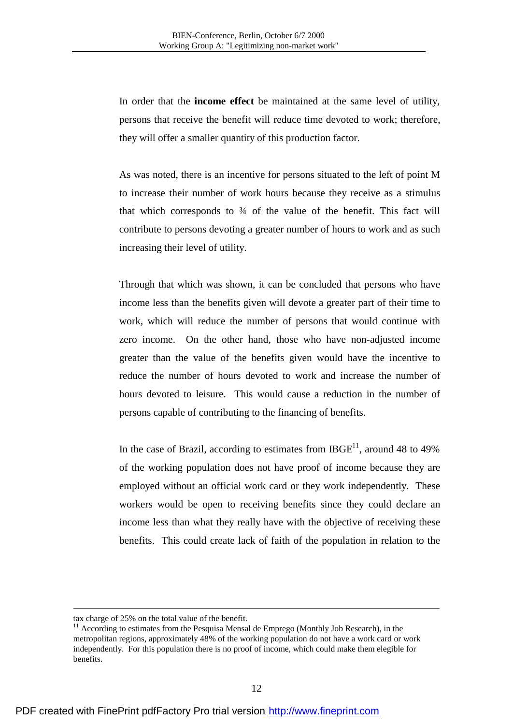In order that the **income effect** be maintained at the same level of utility, persons that receive the benefit will reduce time devoted to work; therefore, they will offer a smaller quantity of this production factor.

As was noted, there is an incentive for persons situated to the left of point M to increase their number of work hours because they receive as a stimulus that which corresponds to  $\frac{3}{4}$  of the value of the benefit. This fact will contribute to persons devoting a greater number of hours to work and as such increasing their level of utility.

Through that which was shown, it can be concluded that persons who have income less than the benefits given will devote a greater part of their time to work, which will reduce the number of persons that would continue with zero income. On the other hand, those who have non-adjusted income greater than the value of the benefits given would have the incentive to reduce the number of hours devoted to work and increase the number of hours devoted to leisure. This would cause a reduction in the number of persons capable of contributing to the financing of benefits.

In the case of Brazil, according to estimates from  $IBGE<sup>11</sup>$ , around 48 to 49% of the working population does not have proof of income because they are employed without an official work card or they work independently. These workers would be open to receiving benefits since they could declare an income less than what they really have with the objective of receiving these benefits. This could create lack of faith of the population in relation to the

<u>.</u>

tax charge of 25% on the total value of the benefit.

 $11$  According to estimates from the Pesquisa Mensal de Emprego (Monthly Job Research), in the metropolitan regions, approximately 48% of the working population do not have a work card or work independently. For this population there is no proof of income, which could make them elegible for benefits.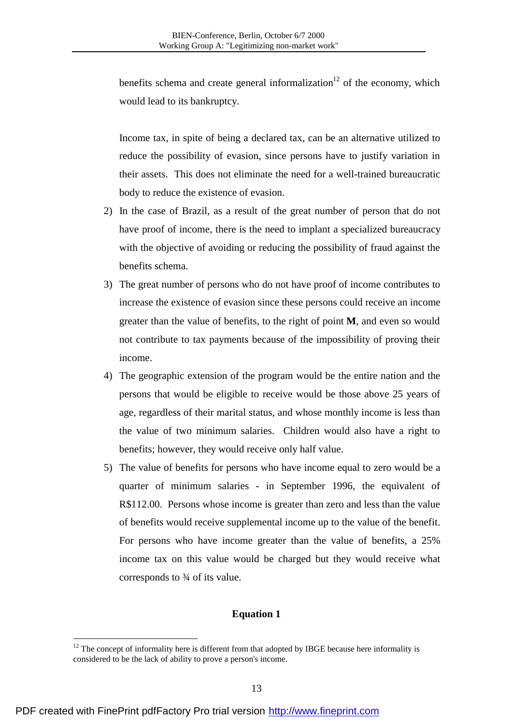benefits schema and create general informalization<sup>12</sup> of the economy, which would lead to its bankruptcy.

Income tax, in spite of being a declared tax, can be an alternative utilized to reduce the possibility of evasion, since persons have to justify variation in their assets. This does not eliminate the need for a well-trained bureaucratic body to reduce the existence of evasion.

- 2) In the case of Brazil, as a result of the great number of person that do not have proof of income, there is the need to implant a specialized bureaucracy with the objective of avoiding or reducing the possibility of fraud against the benefits schema.
- 3) The great number of persons who do not have proof of income contributes to increase the existence of evasion since these persons could receive an income greater than the value of benefits, to the right of point **M**, and even so would not contribute to tax payments because of the impossibility of proving their income.
- 4) The geographic extension of the program would be the entire nation and the persons that would be eligible to receive would be those above 25 years of age, regardless of their marital status, and whose monthly income is less than the value of two minimum salaries. Children would also have a right to benefits; however, they would receive only half value.
- 5) The value of benefits for persons who have income equal to zero would be a quarter of minimum salaries - in September 1996, the equivalent of R\$112.00. Persons whose income is greater than zero and less than the value of benefits would receive supplemental income up to the value of the benefit. For persons who have income greater than the value of benefits, a 25% income tax on this value would be charged but they would receive what corresponds to ¾ of its value.

## **Equation 1**

 $12$  The concept of informality here is different from that adopted by IBGE because here informality is considered to be the lack of ability to prove a person's income.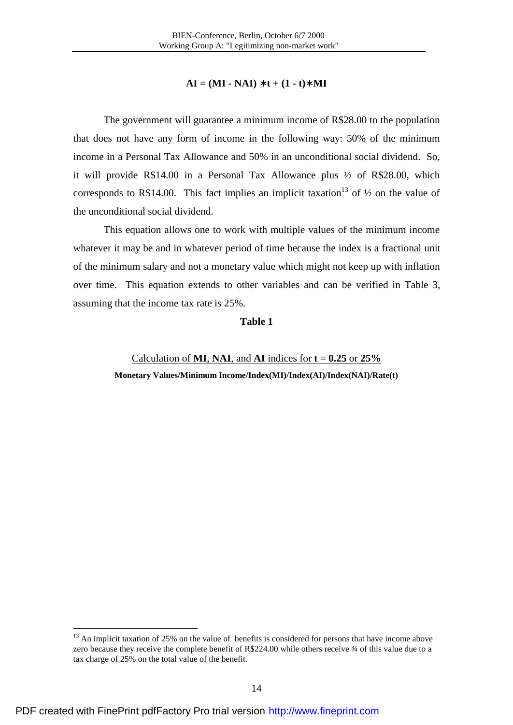## $AI = (MI - NAI) * t + (1 - t) * MI$

The government will guarantee a minimum income of R\$28.00 to the population that does not have any form of income in the following way: 50% of the minimum income in a Personal Tax Allowance and 50% in an unconditional social dividend. So, it will provide R\$14.00 in a Personal Tax Allowance plus ½ of R\$28.00, which corresponds to R\$14.00. This fact implies an implicit taxation<sup>13</sup> of  $\frac{1}{2}$  on the value of the unconditional social dividend.

This equation allows one to work with multiple values of the minimum income whatever it may be and in whatever period of time because the index is a fractional unit of the minimum salary and not a monetary value which might not keep up with inflation over time. This equation extends to other variables and can be verified in Table 3, assuming that the income tax rate is 25%.

#### **Table 1**

#### Calculation of **MI**, **NAI**, and **AI** indices for  $t = 0.25$  or  $25\%$

**Monetary Values/Minimum Income/Index(MI)/Index(AI)/Index(NAI)/Rate(t)** 

 $13$  An implicit taxation of 25% on the value of benefits is considered for persons that have income above zero because they receive the complete benefit of R\$224.00 while others receive ¾ of this value due to a tax charge of 25% on the total value of the benefit.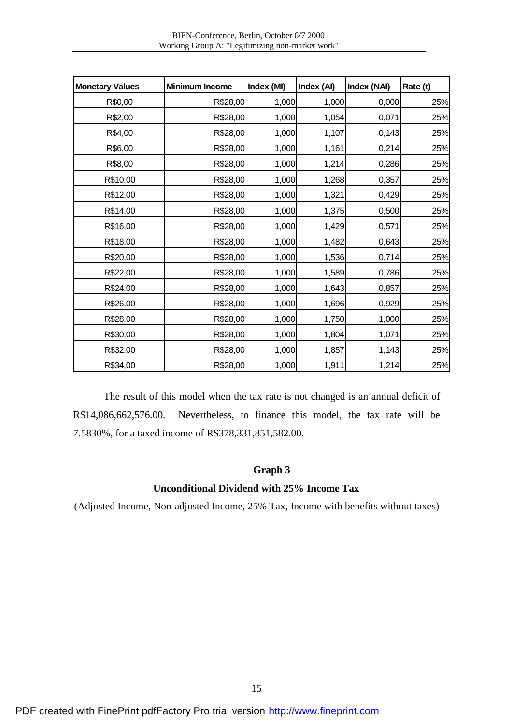| <b>Monetary Values</b> | <b>Minimum Income</b> | Index (MI) | Index (AI) | Index (NAI) | Rate (t) |
|------------------------|-----------------------|------------|------------|-------------|----------|
| R\$0,00                | R\$28,00              | 1,000      | 1,000      | 0,000       | 25%      |
| R\$2,00                | R\$28,00              | 1,000      | 1,054      | 0,071       | 25%      |
| R\$4,00                | R\$28,00              | 1,000      | 1,107      | 0,143       | 25%      |
| R\$6,00                | R\$28,00              | 1,000      | 1,161      | 0,214       | 25%      |
| R\$8,00                | R\$28,00              | 1,000      | 1,214      | 0,286       | 25%      |
| R\$10,00               | R\$28,00              | 1,000      | 1,268      | 0,357       | 25%      |
| R\$12,00               | R\$28,00              | 1,000      | 1,321      | 0,429       | 25%      |
| R\$14,00               | R\$28,00              | 1,000      | 1,375      | 0,500       | 25%      |
| R\$16,00               | R\$28,00              | 1,000      | 1,429      | 0,571       | 25%      |
| R\$18,00               | R\$28,00              | 1,000      | 1,482      | 0,643       | 25%      |
| R\$20,00               | R\$28,00              | 1,000      | 1,536      | 0,714       | 25%      |
| R\$22,00               | R\$28,00              | 1,000      | 1,589      | 0,786       | 25%      |
| R\$24,00               | R\$28,00              | 1,000      | 1,643      | 0,857       | 25%      |
| R\$26,00               | R\$28,00              | 1,000      | 1,696      | 0,929       | 25%      |
| R\$28,00               | R\$28,00              | 1,000      | 1,750      | 1,000       | 25%      |
| R\$30,00               | R\$28,00              | 1,000      | 1,804      | 1,071       | 25%      |
| R\$32,00               | R\$28,00              | 1,000      | 1,857      | 1,143       | 25%      |
| R\$34,00               | R\$28,00              | 1,000      | 1,911      | 1,214       | 25%      |

The result of this model when the tax rate is not changed is an annual deficit of R\$14,086,662,576.00. Nevertheless, to finance this model, the tax rate will be 7.5830%, for a taxed income of R\$378,331,851,582.00.

## **Graph 3**

## **Unconditional Dividend with 25% Income Tax**

(Adjusted Income, Non-adjusted Income, 25% Tax, Income with benefits without taxes)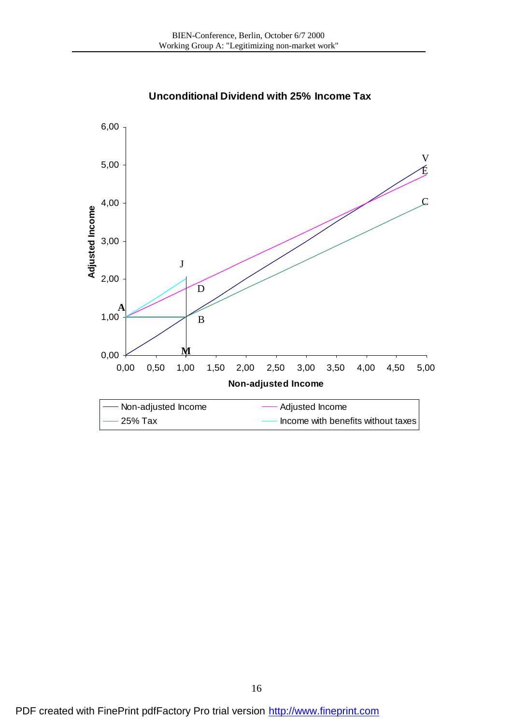

**Unconditional Dividend with 25% Income Tax**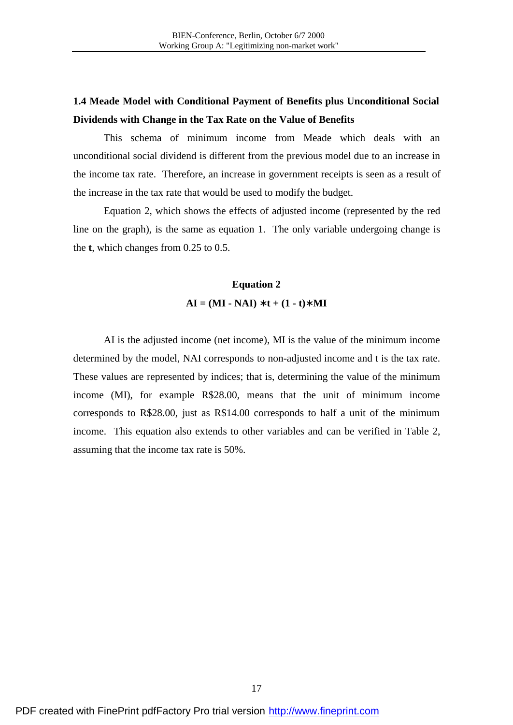# **1.4 Meade Model with Conditional Payment of Benefits plus Unconditional Social Dividends with Change in the Tax Rate on the Value of Benefits**

This schema of minimum income from Meade which deals with an unconditional social dividend is different from the previous model due to an increase in the income tax rate. Therefore, an increase in government receipts is seen as a result of the increase in the tax rate that would be used to modify the budget.

Equation 2, which shows the effects of adjusted income (represented by the red line on the graph), is the same as equation 1. The only variable undergoing change is the **t**, which changes from 0.25 to 0.5.

# **Equation 2**   $AI = (MI - NAI) * t + (1 - t) * MI$

AI is the adjusted income (net income), MI is the value of the minimum income determined by the model, NAI corresponds to non-adjusted income and t is the tax rate. These values are represented by indices; that is, determining the value of the minimum income (MI), for example R\$28.00, means that the unit of minimum income corresponds to R\$28.00, just as R\$14.00 corresponds to half a unit of the minimum income. This equation also extends to other variables and can be verified in Table 2, assuming that the income tax rate is 50%.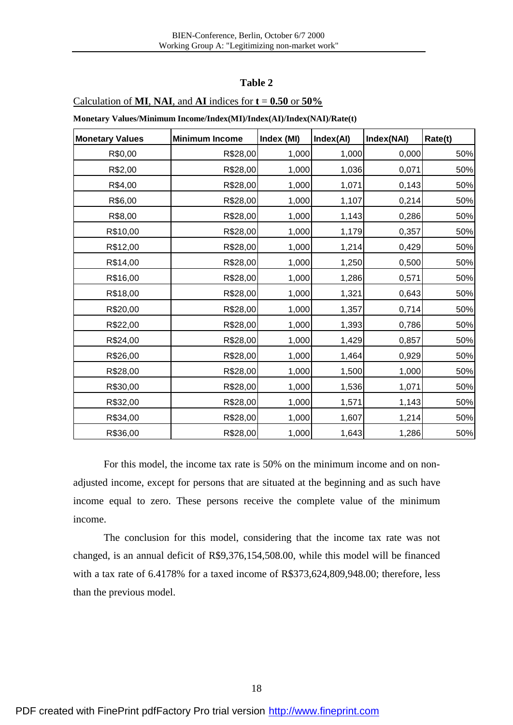## **Table 2**

#### Calculation of **MI**, **NAI**, and **AI** indices for **t** = **0.50** or **50%**

**Monetary Values/Minimum Income/Index(MI)/Index(AI)/Index(NAI)/Rate(t)** 

| <b>Monetary Values</b> | <b>Minimum Income</b> | Index (MI) | Index(AI) | Index(NAI) | Rate(t) |
|------------------------|-----------------------|------------|-----------|------------|---------|
| R\$0,00                | R\$28,00              | 1,000      | 1,000     | 0,000      | 50%     |
| R\$2,00                | R\$28,00              | 1,000      | 1,036     | 0,071      | 50%     |
| R\$4,00                | R\$28,00              | 1,000      | 1,071     | 0,143      | 50%     |
| R\$6,00                | R\$28,00              | 1,000      | 1,107     | 0,214      | 50%     |
| R\$8,00                | R\$28,00              | 1,000      | 1,143     | 0,286      | 50%     |
| R\$10,00               | R\$28,00              | 1,000      | 1,179     | 0,357      | 50%     |
| R\$12,00               | R\$28,00              | 1,000      | 1,214     | 0,429      | 50%     |
| R\$14,00               | R\$28,00              | 1,000      | 1,250     | 0,500      | 50%     |
| R\$16,00               | R\$28,00              | 1,000      | 1,286     | 0,571      | 50%     |
| R\$18,00               | R\$28,00              | 1,000      | 1,321     | 0,643      | 50%     |
| R\$20,00               | R\$28,00              | 1,000      | 1,357     | 0,714      | 50%     |
| R\$22,00               | R\$28,00              | 1,000      | 1,393     | 0,786      | 50%     |
| R\$24,00               | R\$28,00              | 1,000      | 1,429     | 0,857      | 50%     |
| R\$26,00               | R\$28,00              | 1,000      | 1,464     | 0,929      | 50%     |
| R\$28,00               | R\$28,00              | 1,000      | 1,500     | 1,000      | 50%     |
| R\$30,00               | R\$28,00              | 1,000      | 1,536     | 1,071      | 50%     |
| R\$32,00               | R\$28,00              | 1,000      | 1,571     | 1,143      | 50%     |
| R\$34,00               | R\$28,00              | 1,000      | 1,607     | 1,214      | 50%     |
| R\$36,00               | R\$28,00              | 1,000      | 1,643     | 1,286      | 50%     |

For this model, the income tax rate is 50% on the minimum income and on nonadjusted income, except for persons that are situated at the beginning and as such have income equal to zero. These persons receive the complete value of the minimum income.

The conclusion for this model, considering that the income tax rate was not changed, is an annual deficit of R\$9,376,154,508.00, while this model will be financed with a tax rate of 6.4178% for a taxed income of R\$373,624,809,948.00; therefore, less than the previous model.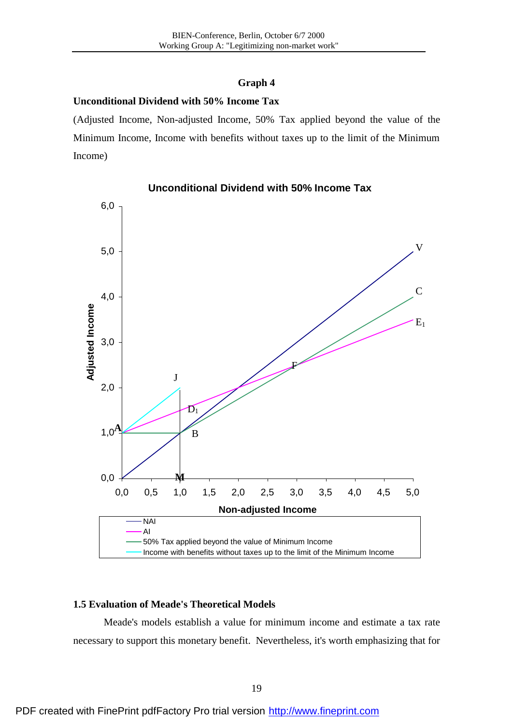# **Graph 4**

## **Unconditional Dividend with 50% Income Tax**

(Adjusted Income, Non-adjusted Income, 50% Tax applied beyond the value of the Minimum Income, Income with benefits without taxes up to the limit of the Minimum Income)



## **Unconditional Dividend with 50% Income Tax**

## **1.5 Evaluation of Meade's Theoretical Models**

Meade's models establish a value for minimum income and estimate a tax rate necessary to support this monetary benefit. Nevertheless, it's worth emphasizing that for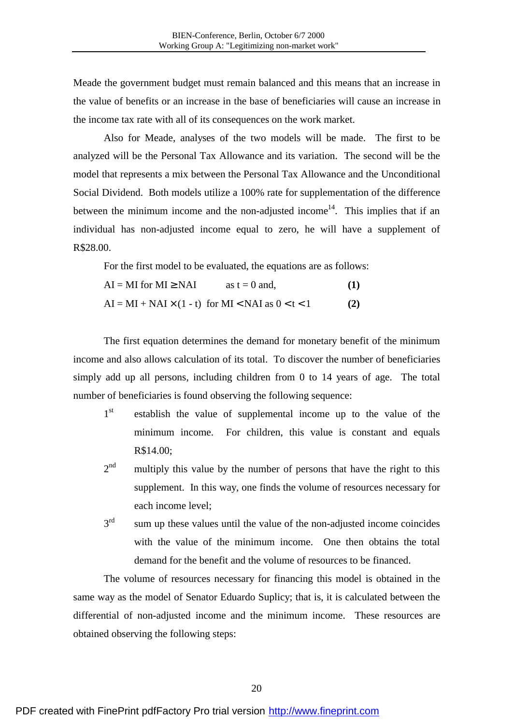Meade the government budget must remain balanced and this means that an increase in the value of benefits or an increase in the base of beneficiaries will cause an increase in the income tax rate with all of its consequences on the work market.

Also for Meade, analyses of the two models will be made. The first to be analyzed will be the Personal Tax Allowance and its variation. The second will be the model that represents a mix between the Personal Tax Allowance and the Unconditional Social Dividend. Both models utilize a 100% rate for supplementation of the difference between the minimum income and the non-adjusted income<sup>14</sup>. This implies that if an individual has non-adjusted income equal to zero, he will have a supplement of R\$28.00.

For the first model to be evaluated, the equations are as follows:

 $AI = MI$  for  $MI \geq NAI$  as  $t = 0$  and,  $(1)$  $AI = MI + NAI \times (1 - t)$  for  $MI < NAI$  as  $0 < t < 1$  (2)

The first equation determines the demand for monetary benefit of the minimum income and also allows calculation of its total. To discover the number of beneficiaries simply add up all persons, including children from 0 to 14 years of age. The total number of beneficiaries is found observing the following sequence:

- $1<sup>st</sup>$ st establish the value of supplemental income up to the value of the minimum income. For children, this value is constant and equals R\$14.00;
- $2<sup>nd</sup>$ multiply this value by the number of persons that have the right to this supplement. In this way, one finds the volume of resources necessary for each income level;
- $3<sup>rd</sup>$ sum up these values until the value of the non-adjusted income coincides with the value of the minimum income. One then obtains the total demand for the benefit and the volume of resources to be financed.

The volume of resources necessary for financing this model is obtained in the same way as the model of Senator Eduardo Suplicy; that is, it is calculated between the differential of non-adjusted income and the minimum income. These resources are obtained observing the following steps: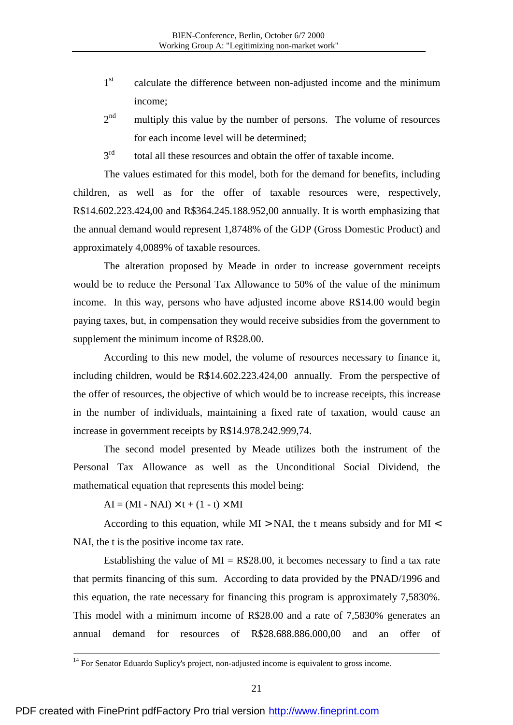- $1<sup>st</sup>$ calculate the difference between non-adjusted income and the minimum income;
- $2^{nd}$ multiply this value by the number of persons. The volume of resources for each income level will be determined;
- 3rd total all these resources and obtain the offer of taxable income.

The values estimated for this model, both for the demand for benefits, including children, as well as for the offer of taxable resources were, respectively, R\$14.602.223.424,00 and R\$364.245.188.952,00 annually. It is worth emphasizing that the annual demand would represent 1,8748% of the GDP (Gross Domestic Product) and approximately 4,0089% of taxable resources.

The alteration proposed by Meade in order to increase government receipts would be to reduce the Personal Tax Allowance to 50% of the value of the minimum income. In this way, persons who have adjusted income above R\$14.00 would begin paying taxes, but, in compensation they would receive subsidies from the government to supplement the minimum income of R\$28.00.

According to this new model, the volume of resources necessary to finance it, including children, would be R\$14.602.223.424,00 annually. From the perspective of the offer of resources, the objective of which would be to increase receipts, this increase in the number of individuals, maintaining a fixed rate of taxation, would cause an increase in government receipts by R\$14.978.242.999,74.

The second model presented by Meade utilizes both the instrument of the Personal Tax Allowance as well as the Unconditional Social Dividend, the mathematical equation that represents this model being:

 $AI = (MI - NAI) \times t + (1 - t) \times MI$ 

<u>.</u>

According to this equation, while  $MI > NAI$ , the t means subsidy and for  $MI <$ NAI, the t is the positive income tax rate.

Establishing the value of  $MI = R$28.00$ , it becomes necessary to find a tax rate that permits financing of this sum. According to data provided by the PNAD/1996 and this equation, the rate necessary for financing this program is approximately 7,5830%. This model with a minimum income of R\$28.00 and a rate of 7,5830% generates an annual demand for resources of R\$28.688.886.000,00 and an offer of

<sup>&</sup>lt;sup>14</sup> For Senator Eduardo Suplicy's project, non-adjusted income is equivalent to gross income.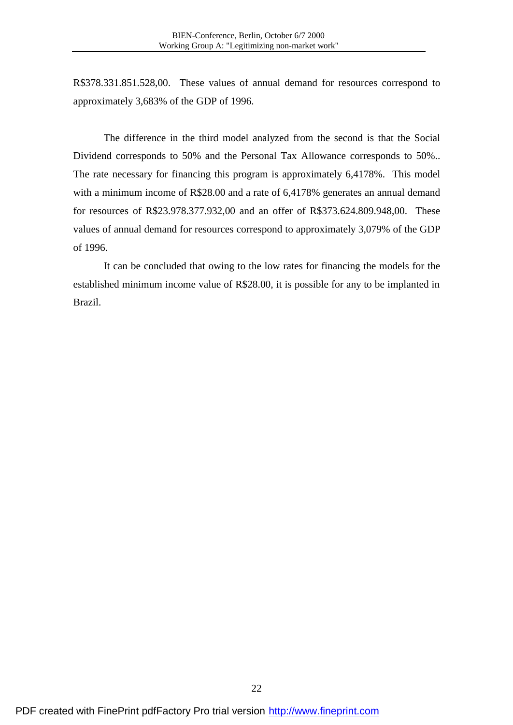R\$378.331.851.528,00. These values of annual demand for resources correspond to approximately 3,683% of the GDP of 1996.

The difference in the third model analyzed from the second is that the Social Dividend corresponds to 50% and the Personal Tax Allowance corresponds to 50%.. The rate necessary for financing this program is approximately 6,4178%. This model with a minimum income of R\$28.00 and a rate of 6,4178% generates an annual demand for resources of R\$23.978.377.932,00 and an offer of R\$373.624.809.948,00. These values of annual demand for resources correspond to approximately 3,079% of the GDP of 1996.

It can be concluded that owing to the low rates for financing the models for the established minimum income value of R\$28.00, it is possible for any to be implanted in Brazil.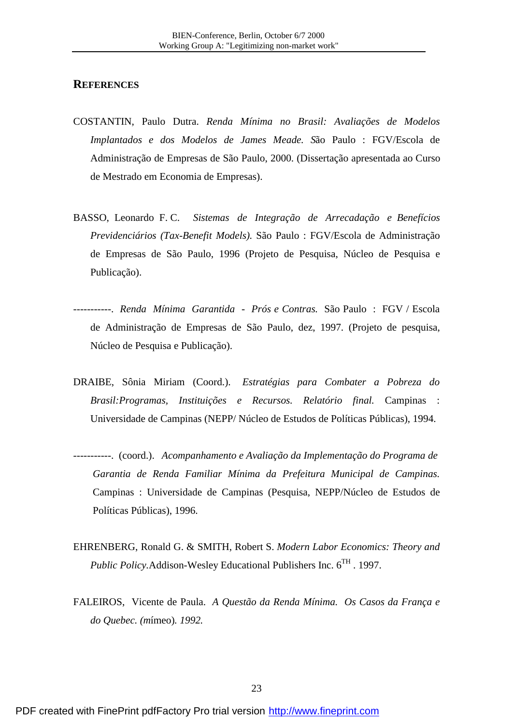### **REFERENCES**

- COSTANTIN, Paulo Dutra. *Renda Mínima no Brasil: Avaliações de Modelos Implantados e dos Modelos de James Meade. S*ão Paulo : FGV/Escola de Administração de Empresas de São Paulo, 2000. (Dissertação apresentada ao Curso de Mestrado em Economia de Empresas).
- BASSO, Leonardo F. C. *Sistemas de Integração de Arrecadação e Benefícios Previdenciários (Tax-Benefit Models)*. São Paulo : FGV/Escola de Administração de Empresas de São Paulo, 1996 (Projeto de Pesquisa, Núcleo de Pesquisa e Publicação).
- -----------. *Renda Mínima Garantida - Prós e Contras.* São Paulo : FGV / Escola de Administração de Empresas de São Paulo, dez, 1997. (Projeto de pesquisa, Núcleo de Pesquisa e Publicação).
- DRAIBE, Sônia Miriam (Coord.). *Estratégias para Combater a Pobreza do Brasil:Programas, Instituições e Recursos. Relatório final.* Campinas : Universidade de Campinas (NEPP/ Núcleo de Estudos de Políticas Públicas), 1994.
- -----------. (coord.). *Acompanhamento e Avaliação da Implementação do Programa de Garantia de Renda Familiar Mínima da Prefeitura Municipal de Campinas.* Campinas : Universidade de Campinas (Pesquisa, NEPP/Núcleo de Estudos de Políticas Públicas), 1996.
- EHRENBERG, Ronald G. & SMITH, Robert S. *Modern Labor Economics: Theory and Public Policy.Addison-Wesley Educational Publishers Inc.*  $6^{TH}$ . 1997.
- FALEIROS, Vicente de Paula. *A Questão da Renda Mínima. Os Casos da França e do Quebec. (m*ímeo)*. 1992.*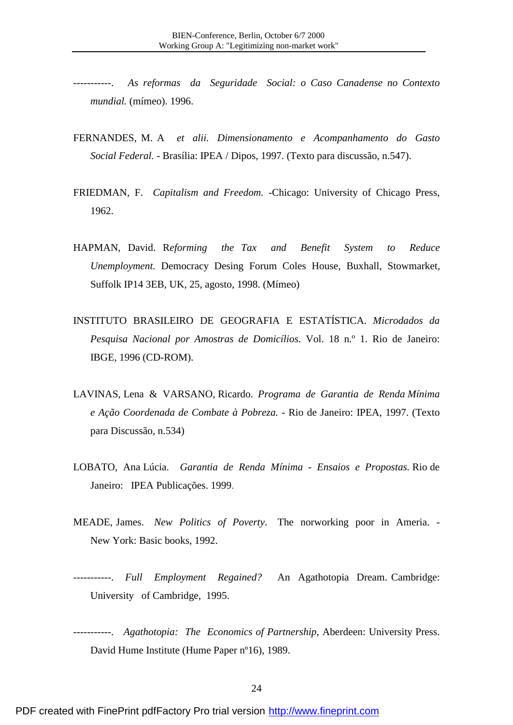-----------. *As reformas da Seguridade Social: o Caso Canadense no Contexto mundial.* (mímeo). 1996.

- FERNANDES, M. A *et alii. Dimensionamento e Acompanhamento do Gasto Social Federal. -* Brasília: IPEA / Dipos, 1997. (Texto para discussão, n.547).
- FRIEDMAN, F. *Capitalism and Freedom. -*Chicago: University of Chicago Press, 1962.
- HAPMAN, David. R*eforming the Tax and Benefit System to Reduce Unemployment.* Democracy Desing Forum Coles House, Buxhall, Stowmarket, Suffolk IP14 3EB, UK, 25, agosto, 1998. (Mímeo)
- INSTITUTO BRASILEIRO DE GEOGRAFIA E ESTATÍSTICA. *Microdados da Pesquisa Nacional por Amostras de Domicílios*. Vol. 18 n.º 1. Rio de Janeiro: IBGE, 1996 (CD-ROM).
- LAVINAS, Lena & VARSANO, Ricardo. *Programa de Garantia de Renda Mínima e Ação Coordenada de Combate à Pobreza. -* Rio de Janeiro: IPEA, 1997. (Texto para Discussão, n.534)
- LOBATO, Ana Lúcia. *Garantia de Renda Mínima Ensaios e Propostas.* Rio de Janeiro: IPEA Publicações. 1999.
- MEADE, James. *New Politics of Poverty*. The norworking poor in Ameria. New York: Basic books, 1992.
- -----------. *Full Employment Regained?* An Agathotopia Dream. Cambridge: University of Cambridge, 1995.
- -----------. *Agathotopia: The Economics of Partnership*, Aberdeen: University Press. David Hume Institute (Hume Paper nº16), 1989.